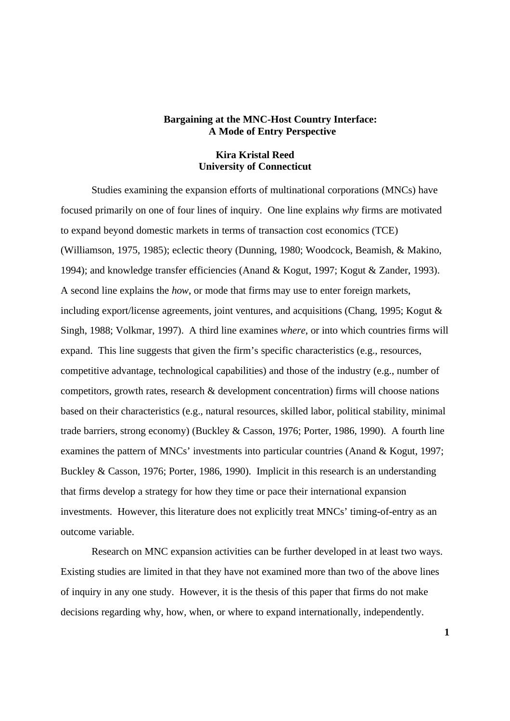## **Bargaining at the MNC-Host Country Interface: A Mode of Entry Perspective**

# **Kira Kristal Reed University of Connecticut**

Studies examining the expansion efforts of multinational corporations (MNCs) have focused primarily on one of four lines of inquiry. One line explains *why* firms are motivated to expand beyond domestic markets in terms of transaction cost economics (TCE) (Williamson, 1975, 1985); eclectic theory (Dunning, 1980; Woodcock, Beamish, & Makino, 1994); and knowledge transfer efficiencies (Anand & Kogut, 1997; Kogut & Zander, 1993). A second line explains the *how*, or mode that firms may use to enter foreign markets, including export/license agreements, joint ventures, and acquisitions (Chang, 1995; Kogut & Singh, 1988; Volkmar, 1997). A third line examines *where*, or into which countries firms will expand. This line suggests that given the firm's specific characteristics (e.g., resources, competitive advantage, technological capabilities) and those of the industry (e.g., number of competitors, growth rates, research & development concentration) firms will choose nations based on their characteristics (e.g., natural resources, skilled labor, political stability, minimal trade barriers, strong economy) (Buckley & Casson, 1976; Porter, 1986, 1990). A fourth line examines the pattern of MNCs' investments into particular countries (Anand & Kogut, 1997; Buckley & Casson, 1976; Porter, 1986, 1990). Implicit in this research is an understanding that firms develop a strategy for how they time or pace their international expansion investments. However, this literature does not explicitly treat MNCs' timing-of-entry as an outcome variable.

Research on MNC expansion activities can be further developed in at least two ways. Existing studies are limited in that they have not examined more than two of the above lines of inquiry in any one study. However, it is the thesis of this paper that firms do not make decisions regarding why, how, when, or where to expand internationally, independently.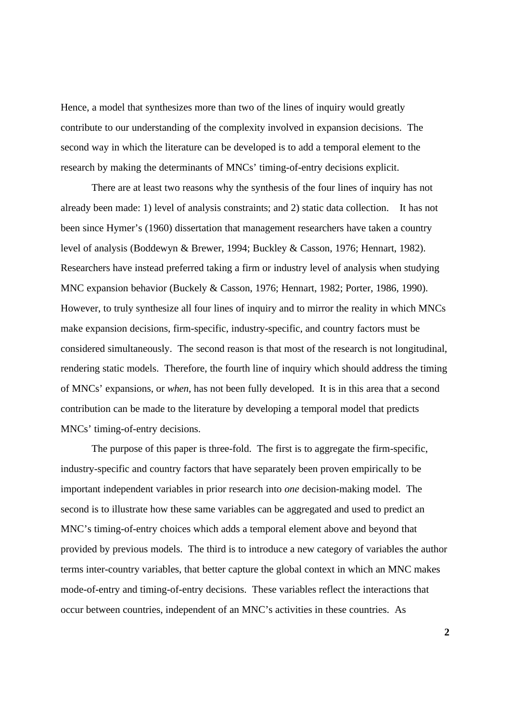Hence, a model that synthesizes more than two of the lines of inquiry would greatly contribute to our understanding of the complexity involved in expansion decisions. The second way in which the literature can be developed is to add a temporal element to the research by making the determinants of MNCs' timing-of-entry decisions explicit.

There are at least two reasons why the synthesis of the four lines of inquiry has not already been made: 1) level of analysis constraints; and 2) static data collection. It has not been since Hymer's (1960) dissertation that management researchers have taken a country level of analysis (Boddewyn & Brewer, 1994; Buckley & Casson, 1976; Hennart, 1982). Researchers have instead preferred taking a firm or industry level of analysis when studying MNC expansion behavior (Buckely & Casson, 1976; Hennart, 1982; Porter, 1986, 1990). However, to truly synthesize all four lines of inquiry and to mirror the reality in which MNCs make expansion decisions, firm-specific, industry-specific, and country factors must be considered simultaneously. The second reason is that most of the research is not longitudinal, rendering static models. Therefore, the fourth line of inquiry which should address the timing of MNCs' expansions, or *when*, has not been fully developed. It is in this area that a second contribution can be made to the literature by developing a temporal model that predicts MNCs' timing-of-entry decisions.

The purpose of this paper is three-fold. The first is to aggregate the firm-specific, industry-specific and country factors that have separately been proven empirically to be important independent variables in prior research into *one* decision-making model. The second is to illustrate how these same variables can be aggregated and used to predict an MNC's timing-of-entry choices which adds a temporal element above and beyond that provided by previous models. The third is to introduce a new category of variables the author terms inter-country variables, that better capture the global context in which an MNC makes mode-of-entry and timing-of-entry decisions. These variables reflect the interactions that occur between countries, independent of an MNC's activities in these countries. As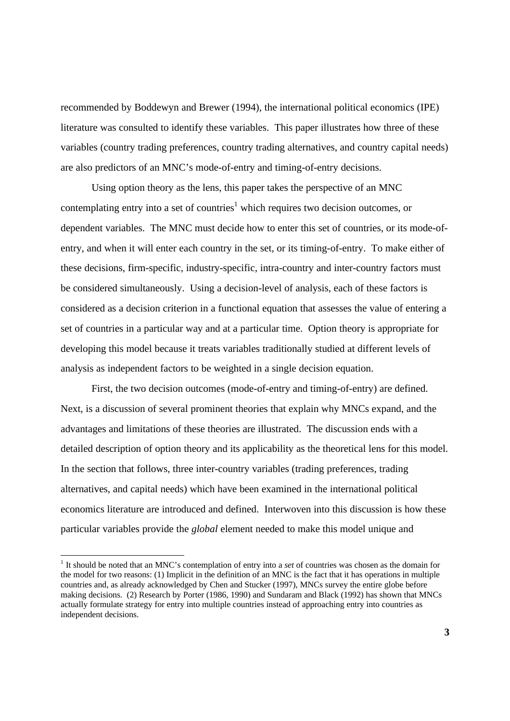recommended by Boddewyn and Brewer (1994), the international political economics (IPE) literature was consulted to identify these variables. This paper illustrates how three of these variables (country trading preferences, country trading alternatives, and country capital needs) are also predictors of an MNC's mode-of-entry and timing-of-entry decisions.

Using option theory as the lens, this paper takes the perspective of an MNC contemplating entry into a set of countries<sup>1</sup> which requires two decision outcomes, or dependent variables. The MNC must decide how to enter this set of countries, or its mode-ofentry, and when it will enter each country in the set, or its timing-of-entry. To make either of these decisions, firm-specific, industry-specific, intra-country and inter-country factors must be considered simultaneously. Using a decision-level of analysis, each of these factors is considered as a decision criterion in a functional equation that assesses the value of entering a set of countries in a particular way and at a particular time. Option theory is appropriate for developing this model because it treats variables traditionally studied at different levels of analysis as independent factors to be weighted in a single decision equation.

First, the two decision outcomes (mode-of-entry and timing-of-entry) are defined. Next, is a discussion of several prominent theories that explain why MNCs expand, and the advantages and limitations of these theories are illustrated. The discussion ends with a detailed description of option theory and its applicability as the theoretical lens for this model. In the section that follows, three inter-country variables (trading preferences, trading alternatives, and capital needs) which have been examined in the international political economics literature are introduced and defined. Interwoven into this discussion is how these particular variables provide the *global* element needed to make this model unique and

<sup>&</sup>lt;sup>1</sup> It should be noted that an MNC's contemplation of entry into a *set* of countries was chosen as the domain for the model for two reasons: (1) Implicit in the definition of an MNC is the fact that it has operations in multiple countries and, as already acknowledged by Chen and Stucker (1997), MNCs survey the entire globe before making decisions. (2) Research by Porter (1986, 1990) and Sundaram and Black (1992) has shown that MNCs actually formulate strategy for entry into multiple countries instead of approaching entry into countries as independent decisions.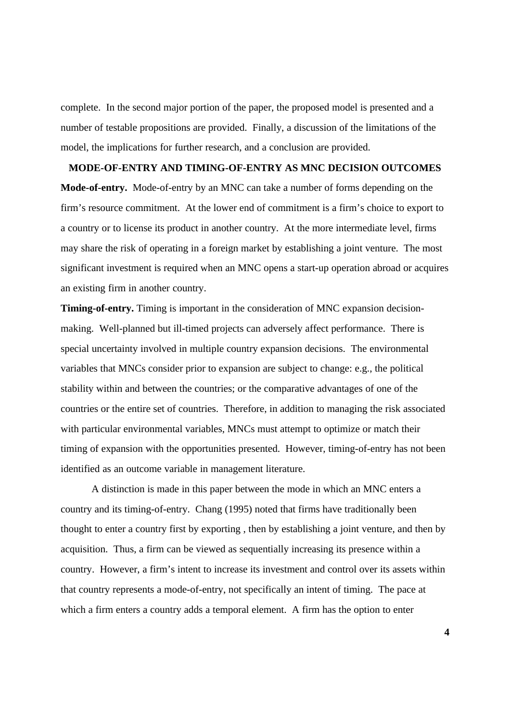complete. In the second major portion of the paper, the proposed model is presented and a number of testable propositions are provided. Finally, a discussion of the limitations of the model, the implications for further research, and a conclusion are provided.

# **MODE-OF-ENTRY AND TIMING-OF-ENTRY AS MNC DECISION OUTCOMES**

**Mode-of-entry.** Mode-of-entry by an MNC can take a number of forms depending on the firm's resource commitment. At the lower end of commitment is a firm's choice to export to a country or to license its product in another country. At the more intermediate level, firms may share the risk of operating in a foreign market by establishing a joint venture. The most significant investment is required when an MNC opens a start-up operation abroad or acquires an existing firm in another country.

**Timing-of-entry.** Timing is important in the consideration of MNC expansion decisionmaking. Well-planned but ill-timed projects can adversely affect performance. There is special uncertainty involved in multiple country expansion decisions. The environmental variables that MNCs consider prior to expansion are subject to change: e.g., the political stability within and between the countries; or the comparative advantages of one of the countries or the entire set of countries. Therefore, in addition to managing the risk associated with particular environmental variables, MNCs must attempt to optimize or match their timing of expansion with the opportunities presented. However, timing-of-entry has not been identified as an outcome variable in management literature.

A distinction is made in this paper between the mode in which an MNC enters a country and its timing-of-entry. Chang (1995) noted that firms have traditionally been thought to enter a country first by exporting , then by establishing a joint venture, and then by acquisition. Thus, a firm can be viewed as sequentially increasing its presence within a country. However, a firm's intent to increase its investment and control over its assets within that country represents a mode-of-entry, not specifically an intent of timing. The pace at which a firm enters a country adds a temporal element. A firm has the option to enter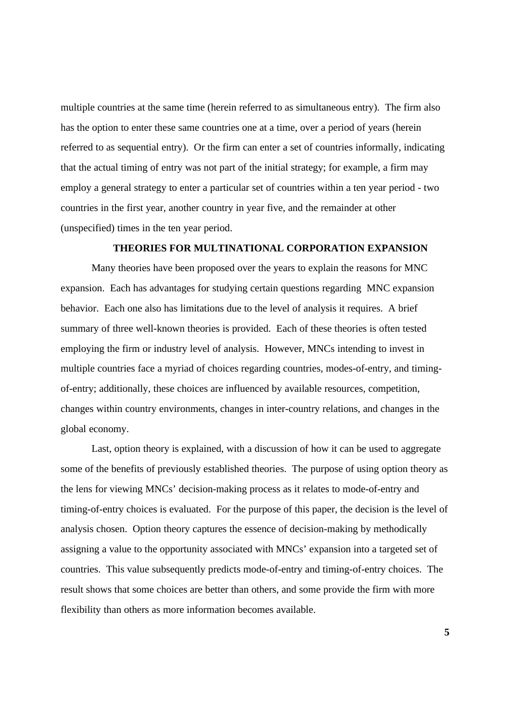multiple countries at the same time (herein referred to as simultaneous entry). The firm also has the option to enter these same countries one at a time, over a period of years (herein referred to as sequential entry). Or the firm can enter a set of countries informally, indicating that the actual timing of entry was not part of the initial strategy; for example, a firm may employ a general strategy to enter a particular set of countries within a ten year period - two countries in the first year, another country in year five, and the remainder at other (unspecified) times in the ten year period.

# **THEORIES FOR MULTINATIONAL CORPORATION EXPANSION**

Many theories have been proposed over the years to explain the reasons for MNC expansion. Each has advantages for studying certain questions regarding MNC expansion behavior. Each one also has limitations due to the level of analysis it requires. A brief summary of three well-known theories is provided. Each of these theories is often tested employing the firm or industry level of analysis. However, MNCs intending to invest in multiple countries face a myriad of choices regarding countries, modes-of-entry, and timingof-entry; additionally, these choices are influenced by available resources, competition, changes within country environments, changes in inter-country relations, and changes in the global economy.

Last, option theory is explained, with a discussion of how it can be used to aggregate some of the benefits of previously established theories. The purpose of using option theory as the lens for viewing MNCs' decision-making process as it relates to mode-of-entry and timing-of-entry choices is evaluated. For the purpose of this paper, the decision is the level of analysis chosen. Option theory captures the essence of decision-making by methodically assigning a value to the opportunity associated with MNCs' expansion into a targeted set of countries. This value subsequently predicts mode-of-entry and timing-of-entry choices. The result shows that some choices are better than others, and some provide the firm with more flexibility than others as more information becomes available.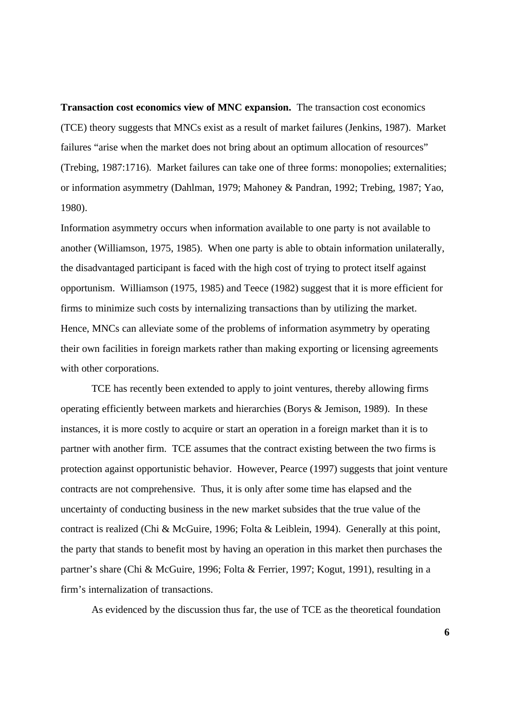**Transaction cost economics view of MNC expansion.** The transaction cost economics (TCE) theory suggests that MNCs exist as a result of market failures (Jenkins, 1987). Market failures "arise when the market does not bring about an optimum allocation of resources" (Trebing, 1987:1716). Market failures can take one of three forms: monopolies; externalities; or information asymmetry (Dahlman, 1979; Mahoney & Pandran, 1992; Trebing, 1987; Yao, 1980).

Information asymmetry occurs when information available to one party is not available to another (Williamson, 1975, 1985). When one party is able to obtain information unilaterally, the disadvantaged participant is faced with the high cost of trying to protect itself against opportunism. Williamson (1975, 1985) and Teece (1982) suggest that it is more efficient for firms to minimize such costs by internalizing transactions than by utilizing the market. Hence, MNCs can alleviate some of the problems of information asymmetry by operating their own facilities in foreign markets rather than making exporting or licensing agreements with other corporations.

TCE has recently been extended to apply to joint ventures, thereby allowing firms operating efficiently between markets and hierarchies (Borys & Jemison, 1989). In these instances, it is more costly to acquire or start an operation in a foreign market than it is to partner with another firm. TCE assumes that the contract existing between the two firms is protection against opportunistic behavior. However, Pearce (1997) suggests that joint venture contracts are not comprehensive. Thus, it is only after some time has elapsed and the uncertainty of conducting business in the new market subsides that the true value of the contract is realized (Chi & McGuire, 1996; Folta & Leiblein, 1994). Generally at this point, the party that stands to benefit most by having an operation in this market then purchases the partner's share (Chi & McGuire, 1996; Folta & Ferrier, 1997; Kogut, 1991), resulting in a firm's internalization of transactions.

As evidenced by the discussion thus far, the use of TCE as the theoretical foundation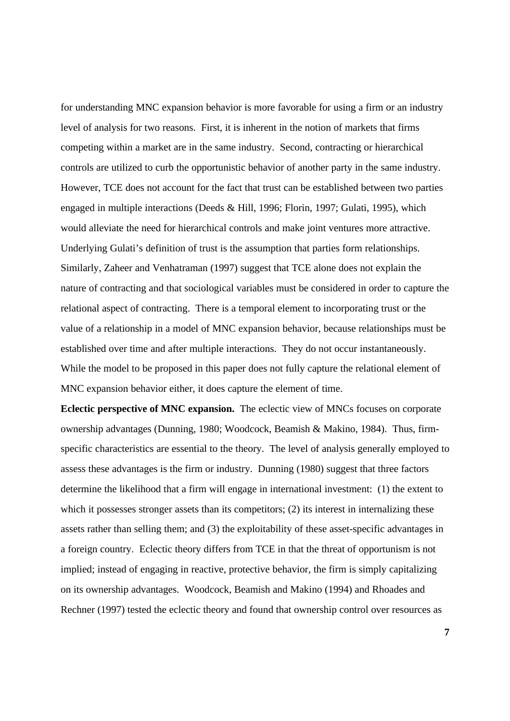for understanding MNC expansion behavior is more favorable for using a firm or an industry level of analysis for two reasons. First, it is inherent in the notion of markets that firms competing within a market are in the same industry. Second, contracting or hierarchical controls are utilized to curb the opportunistic behavior of another party in the same industry. However, TCE does not account for the fact that trust can be established between two parties engaged in multiple interactions (Deeds & Hill, 1996; Florin, 1997; Gulati, 1995), which would alleviate the need for hierarchical controls and make joint ventures more attractive. Underlying Gulati's definition of trust is the assumption that parties form relationships. Similarly, Zaheer and Venhatraman (1997) suggest that TCE alone does not explain the nature of contracting and that sociological variables must be considered in order to capture the relational aspect of contracting. There is a temporal element to incorporating trust or the value of a relationship in a model of MNC expansion behavior, because relationships must be established over time and after multiple interactions. They do not occur instantaneously. While the model to be proposed in this paper does not fully capture the relational element of MNC expansion behavior either, it does capture the element of time.

**Eclectic perspective of MNC expansion.** The eclectic view of MNCs focuses on corporate ownership advantages (Dunning, 1980; Woodcock, Beamish & Makino, 1984). Thus, firmspecific characteristics are essential to the theory. The level of analysis generally employed to assess these advantages is the firm or industry. Dunning (1980) suggest that three factors determine the likelihood that a firm will engage in international investment: (1) the extent to which it possesses stronger assets than its competitors; (2) its interest in internalizing these assets rather than selling them; and (3) the exploitability of these asset-specific advantages in a foreign country. Eclectic theory differs from TCE in that the threat of opportunism is not implied; instead of engaging in reactive, protective behavior, the firm is simply capitalizing on its ownership advantages. Woodcock, Beamish and Makino (1994) and Rhoades and Rechner (1997) tested the eclectic theory and found that ownership control over resources as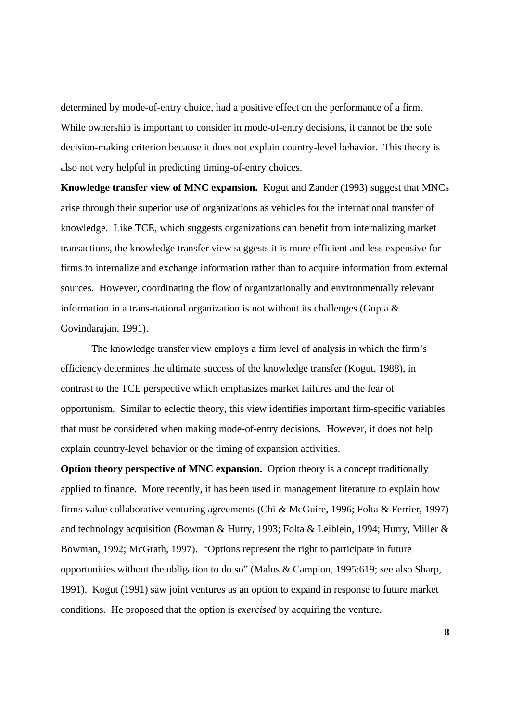determined by mode-of-entry choice, had a positive effect on the performance of a firm. While ownership is important to consider in mode-of-entry decisions, it cannot be the sole decision-making criterion because it does not explain country-level behavior. This theory is also not very helpful in predicting timing-of-entry choices.

**Knowledge transfer view of MNC expansion.** Kogut and Zander (1993) suggest that MNCs arise through their superior use of organizations as vehicles for the international transfer of knowledge. Like TCE, which suggests organizations can benefit from internalizing market transactions, the knowledge transfer view suggests it is more efficient and less expensive for firms to internalize and exchange information rather than to acquire information from external sources. However, coordinating the flow of organizationally and environmentally relevant information in a trans-national organization is not without its challenges (Gupta & Govindarajan, 1991).

The knowledge transfer view employs a firm level of analysis in which the firm's efficiency determines the ultimate success of the knowledge transfer (Kogut, 1988), in contrast to the TCE perspective which emphasizes market failures and the fear of opportunism. Similar to eclectic theory, this view identifies important firm-specific variables that must be considered when making mode-of-entry decisions. However, it does not help explain country-level behavior or the timing of expansion activities.

**Option theory perspective of MNC expansion.** Option theory is a concept traditionally applied to finance. More recently, it has been used in management literature to explain how firms value collaborative venturing agreements (Chi & McGuire, 1996; Folta & Ferrier, 1997) and technology acquisition (Bowman & Hurry, 1993; Folta & Leiblein, 1994; Hurry, Miller & Bowman, 1992; McGrath, 1997). "Options represent the right to participate in future opportunities without the obligation to do so" (Malos & Campion, 1995:619; see also Sharp, 1991). Kogut (1991) saw joint ventures as an option to expand in response to future market conditions. He proposed that the option is *exercised* by acquiring the venture.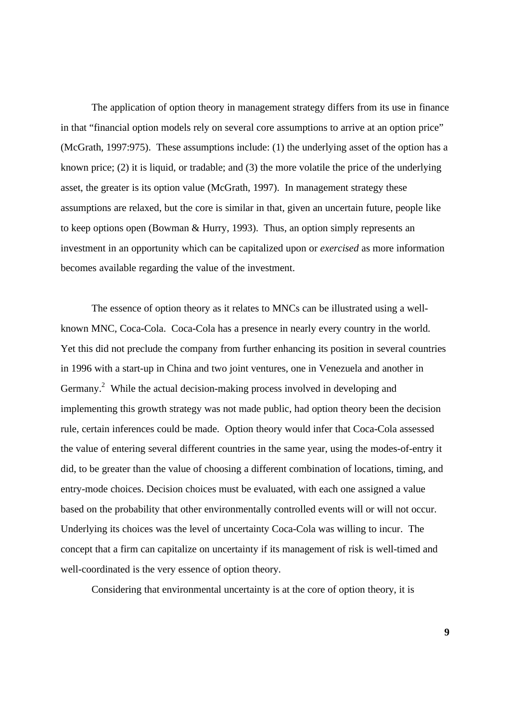The application of option theory in management strategy differs from its use in finance in that "financial option models rely on several core assumptions to arrive at an option price" (McGrath, 1997:975). These assumptions include: (1) the underlying asset of the option has a known price; (2) it is liquid, or tradable; and (3) the more volatile the price of the underlying asset, the greater is its option value (McGrath, 1997). In management strategy these assumptions are relaxed, but the core is similar in that, given an uncertain future, people like to keep options open (Bowman & Hurry, 1993). Thus, an option simply represents an investment in an opportunity which can be capitalized upon or *exercised* as more information becomes available regarding the value of the investment.

The essence of option theory as it relates to MNCs can be illustrated using a wellknown MNC, Coca-Cola. Coca-Cola has a presence in nearly every country in the world. Yet this did not preclude the company from further enhancing its position in several countries in 1996 with a start-up in China and two joint ventures, one in Venezuela and another in Germany.<sup>2</sup> While the actual decision-making process involved in developing and implementing this growth strategy was not made public, had option theory been the decision rule, certain inferences could be made. Option theory would infer that Coca-Cola assessed the value of entering several different countries in the same year, using the modes-of-entry it did, to be greater than the value of choosing a different combination of locations, timing, and entry-mode choices. Decision choices must be evaluated, with each one assigned a value based on the probability that other environmentally controlled events will or will not occur. Underlying its choices was the level of uncertainty Coca-Cola was willing to incur. The concept that a firm can capitalize on uncertainty if its management of risk is well-timed and well-coordinated is the very essence of option theory.

Considering that environmental uncertainty is at the core of option theory, it is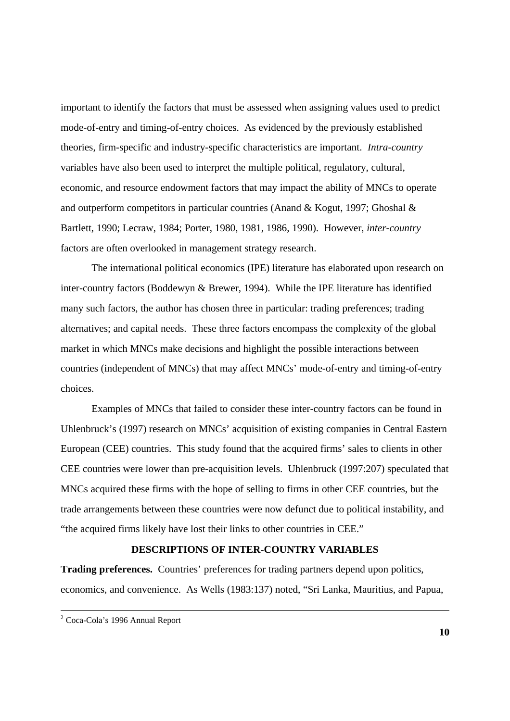important to identify the factors that must be assessed when assigning values used to predict mode-of-entry and timing-of-entry choices. As evidenced by the previously established theories, firm-specific and industry-specific characteristics are important. *Intra-country* variables have also been used to interpret the multiple political, regulatory, cultural, economic, and resource endowment factors that may impact the ability of MNCs to operate and outperform competitors in particular countries (Anand & Kogut, 1997; Ghoshal & Bartlett, 1990; Lecraw, 1984; Porter, 1980, 1981, 1986, 1990). However, *inter-country* factors are often overlooked in management strategy research.

The international political economics (IPE) literature has elaborated upon research on inter-country factors (Boddewyn & Brewer, 1994). While the IPE literature has identified many such factors, the author has chosen three in particular: trading preferences; trading alternatives; and capital needs. These three factors encompass the complexity of the global market in which MNCs make decisions and highlight the possible interactions between countries (independent of MNCs) that may affect MNCs' mode-of-entry and timing-of-entry choices.

Examples of MNCs that failed to consider these inter-country factors can be found in Uhlenbruck's (1997) research on MNCs' acquisition of existing companies in Central Eastern European (CEE) countries. This study found that the acquired firms' sales to clients in other CEE countries were lower than pre-acquisition levels. Uhlenbruck (1997:207) speculated that MNCs acquired these firms with the hope of selling to firms in other CEE countries, but the trade arrangements between these countries were now defunct due to political instability, and "the acquired firms likely have lost their links to other countries in CEE."

# **DESCRIPTIONS OF INTER-COUNTRY VARIABLES**

**Trading preferences.** Countries' preferences for trading partners depend upon politics, economics, and convenience. As Wells (1983:137) noted, "Sri Lanka, Mauritius, and Papua,

 2 Coca-Cola's 1996 Annual Report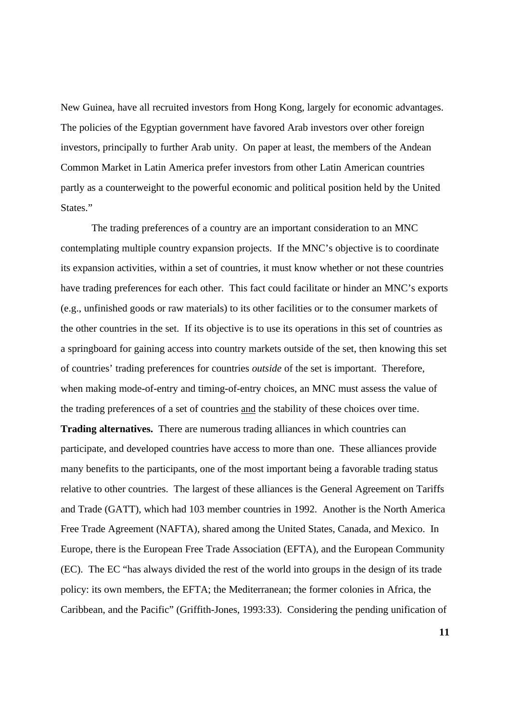New Guinea, have all recruited investors from Hong Kong, largely for economic advantages. The policies of the Egyptian government have favored Arab investors over other foreign investors, principally to further Arab unity. On paper at least, the members of the Andean Common Market in Latin America prefer investors from other Latin American countries partly as a counterweight to the powerful economic and political position held by the United States."

The trading preferences of a country are an important consideration to an MNC contemplating multiple country expansion projects. If the MNC's objective is to coordinate its expansion activities, within a set of countries, it must know whether or not these countries have trading preferences for each other. This fact could facilitate or hinder an MNC's exports (e.g., unfinished goods or raw materials) to its other facilities or to the consumer markets of the other countries in the set. If its objective is to use its operations in this set of countries as a springboard for gaining access into country markets outside of the set, then knowing this set of countries' trading preferences for countries *outside* of the set is important. Therefore, when making mode-of-entry and timing-of-entry choices, an MNC must assess the value of the trading preferences of a set of countries and the stability of these choices over time.

**Trading alternatives.** There are numerous trading alliances in which countries can participate, and developed countries have access to more than one. These alliances provide many benefits to the participants, one of the most important being a favorable trading status relative to other countries. The largest of these alliances is the General Agreement on Tariffs and Trade (GATT), which had 103 member countries in 1992. Another is the North America Free Trade Agreement (NAFTA), shared among the United States, Canada, and Mexico. In Europe, there is the European Free Trade Association (EFTA), and the European Community (EC). The EC "has always divided the rest of the world into groups in the design of its trade policy: its own members, the EFTA; the Mediterranean; the former colonies in Africa, the Caribbean, and the Pacific" (Griffith-Jones, 1993:33). Considering the pending unification of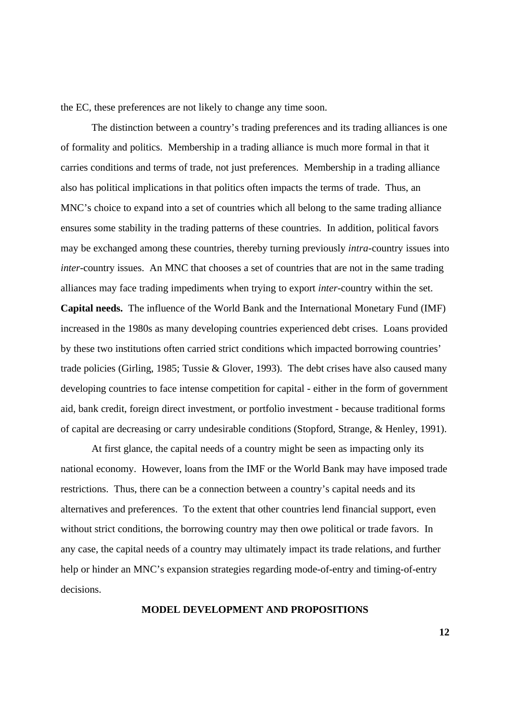the EC, these preferences are not likely to change any time soon.

The distinction between a country's trading preferences and its trading alliances is one of formality and politics. Membership in a trading alliance is much more formal in that it carries conditions and terms of trade, not just preferences. Membership in a trading alliance also has political implications in that politics often impacts the terms of trade. Thus, an MNC's choice to expand into a set of countries which all belong to the same trading alliance ensures some stability in the trading patterns of these countries. In addition, political favors may be exchanged among these countries, thereby turning previously *intra*-country issues into *inter*-country issues. An MNC that chooses a set of countries that are not in the same trading alliances may face trading impediments when trying to export *inter*-country within the set. **Capital needs.** The influence of the World Bank and the International Monetary Fund (IMF) increased in the 1980s as many developing countries experienced debt crises. Loans provided by these two institutions often carried strict conditions which impacted borrowing countries' trade policies (Girling, 1985; Tussie & Glover, 1993). The debt crises have also caused many developing countries to face intense competition for capital - either in the form of government aid, bank credit, foreign direct investment, or portfolio investment - because traditional forms of capital are decreasing or carry undesirable conditions (Stopford, Strange, & Henley, 1991).

At first glance, the capital needs of a country might be seen as impacting only its national economy. However, loans from the IMF or the World Bank may have imposed trade restrictions. Thus, there can be a connection between a country's capital needs and its alternatives and preferences. To the extent that other countries lend financial support, even without strict conditions, the borrowing country may then owe political or trade favors. In any case, the capital needs of a country may ultimately impact its trade relations, and further help or hinder an MNC's expansion strategies regarding mode-of-entry and timing-of-entry decisions.

## **MODEL DEVELOPMENT AND PROPOSITIONS**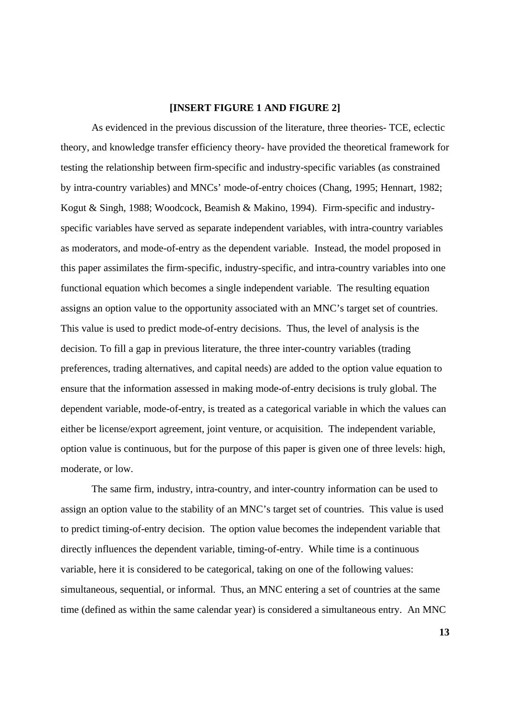### **[INSERT FIGURE 1 AND FIGURE 2]**

As evidenced in the previous discussion of the literature, three theories- TCE, eclectic theory, and knowledge transfer efficiency theory- have provided the theoretical framework for testing the relationship between firm-specific and industry-specific variables (as constrained by intra-country variables) and MNCs' mode-of-entry choices (Chang, 1995; Hennart, 1982; Kogut & Singh, 1988; Woodcock, Beamish & Makino, 1994). Firm-specific and industryspecific variables have served as separate independent variables, with intra-country variables as moderators, and mode-of-entry as the dependent variable. Instead, the model proposed in this paper assimilates the firm-specific, industry-specific, and intra-country variables into one functional equation which becomes a single independent variable. The resulting equation assigns an option value to the opportunity associated with an MNC's target set of countries. This value is used to predict mode-of-entry decisions. Thus, the level of analysis is the decision. To fill a gap in previous literature, the three inter-country variables (trading preferences, trading alternatives, and capital needs) are added to the option value equation to ensure that the information assessed in making mode-of-entry decisions is truly global. The dependent variable, mode-of-entry, is treated as a categorical variable in which the values can either be license/export agreement, joint venture, or acquisition. The independent variable, option value is continuous, but for the purpose of this paper is given one of three levels: high, moderate, or low.

The same firm, industry, intra-country, and inter-country information can be used to assign an option value to the stability of an MNC's target set of countries. This value is used to predict timing-of-entry decision. The option value becomes the independent variable that directly influences the dependent variable, timing-of-entry. While time is a continuous variable, here it is considered to be categorical, taking on one of the following values: simultaneous, sequential, or informal. Thus, an MNC entering a set of countries at the same time (defined as within the same calendar year) is considered a simultaneous entry. An MNC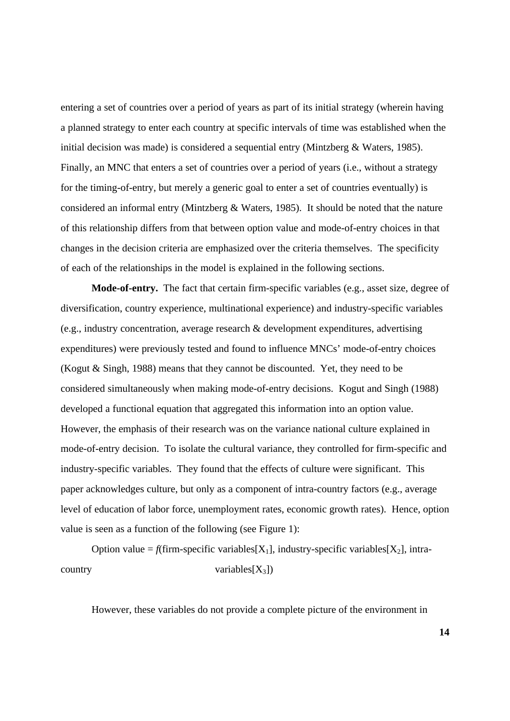entering a set of countries over a period of years as part of its initial strategy (wherein having a planned strategy to enter each country at specific intervals of time was established when the initial decision was made) is considered a sequential entry (Mintzberg & Waters, 1985). Finally, an MNC that enters a set of countries over a period of years (i.e., without a strategy for the timing-of-entry, but merely a generic goal to enter a set of countries eventually) is considered an informal entry (Mintzberg & Waters, 1985). It should be noted that the nature of this relationship differs from that between option value and mode-of-entry choices in that changes in the decision criteria are emphasized over the criteria themselves. The specificity of each of the relationships in the model is explained in the following sections.

**Mode-of-entry.** The fact that certain firm-specific variables (e.g., asset size, degree of diversification, country experience, multinational experience) and industry-specific variables (e.g., industry concentration, average research & development expenditures, advertising expenditures) were previously tested and found to influence MNCs' mode-of-entry choices (Kogut & Singh, 1988) means that they cannot be discounted. Yet, they need to be considered simultaneously when making mode-of-entry decisions. Kogut and Singh (1988) developed a functional equation that aggregated this information into an option value. However, the emphasis of their research was on the variance national culture explained in mode-of-entry decision. To isolate the cultural variance, they controlled for firm-specific and industry-specific variables. They found that the effects of culture were significant. This paper acknowledges culture, but only as a component of intra-country factors (e.g., average level of education of labor force, unemployment rates, economic growth rates). Hence, option value is seen as a function of the following (see Figure 1):

Option value =  $f$ (firm-specific variables[X<sub>1</sub>], industry-specific variables[X<sub>2</sub>], intra $country$  variables[ $X_3$ ])

However, these variables do not provide a complete picture of the environment in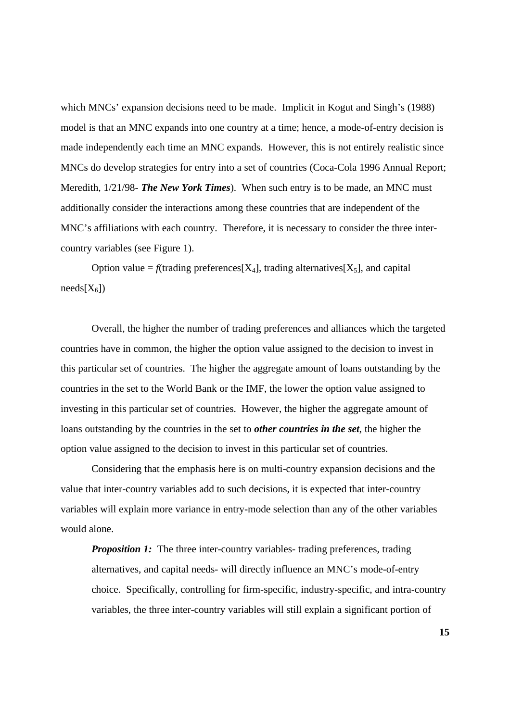which MNCs' expansion decisions need to be made. Implicit in Kogut and Singh's (1988) model is that an MNC expands into one country at a time; hence, a mode-of-entry decision is made independently each time an MNC expands. However, this is not entirely realistic since MNCs do develop strategies for entry into a set of countries (Coca-Cola 1996 Annual Report; Meredith, 1/21/98- *The New York Times*). When such entry is to be made, an MNC must additionally consider the interactions among these countries that are independent of the MNC's affiliations with each country. Therefore, it is necessary to consider the three intercountry variables (see Figure 1).

Option value =  $f$ (trading preferences[X<sub>4</sub>], trading alternatives[X<sub>5</sub>], and capital  $needs[X_6]$ 

Overall, the higher the number of trading preferences and alliances which the targeted countries have in common, the higher the option value assigned to the decision to invest in this particular set of countries. The higher the aggregate amount of loans outstanding by the countries in the set to the World Bank or the IMF, the lower the option value assigned to investing in this particular set of countries. However, the higher the aggregate amount of loans outstanding by the countries in the set to *other countries in the set*, the higher the option value assigned to the decision to invest in this particular set of countries.

Considering that the emphasis here is on multi-country expansion decisions and the value that inter-country variables add to such decisions, it is expected that inter-country variables will explain more variance in entry-mode selection than any of the other variables would alone.

*Proposition 1:* The three inter-country variables- trading preferences, trading alternatives, and capital needs- will directly influence an MNC's mode-of-entry choice. Specifically, controlling for firm-specific, industry-specific, and intra-country variables, the three inter-country variables will still explain a significant portion of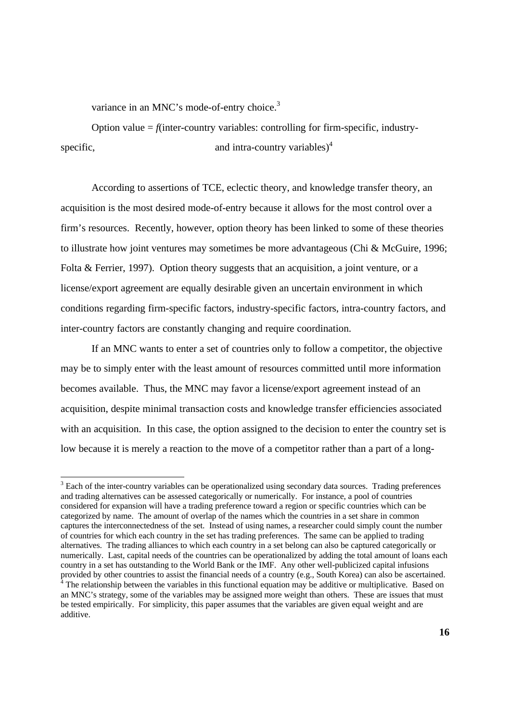variance in an MNC's mode-of-entry choice.<sup>3</sup>

Option value  $=$  *f*(inter-country variables: controlling for firm-specific, industryspecific, and intra-country variables) $4$ 

According to assertions of TCE, eclectic theory, and knowledge transfer theory, an acquisition is the most desired mode-of-entry because it allows for the most control over a firm's resources. Recently, however, option theory has been linked to some of these theories to illustrate how joint ventures may sometimes be more advantageous (Chi & McGuire, 1996; Folta & Ferrier, 1997). Option theory suggests that an acquisition, a joint venture, or a license/export agreement are equally desirable given an uncertain environment in which conditions regarding firm-specific factors, industry-specific factors, intra-country factors, and inter-country factors are constantly changing and require coordination.

If an MNC wants to enter a set of countries only to follow a competitor, the objective may be to simply enter with the least amount of resources committed until more information becomes available. Thus, the MNC may favor a license/export agreement instead of an acquisition, despite minimal transaction costs and knowledge transfer efficiencies associated with an acquisition. In this case, the option assigned to the decision to enter the country set is low because it is merely a reaction to the move of a competitor rather than a part of a long-

<sup>&</sup>lt;sup>3</sup> Each of the inter-country variables can be operationalized using secondary data sources. Trading preferences and trading alternatives can be assessed categorically or numerically. For instance, a pool of countries considered for expansion will have a trading preference toward a region or specific countries which can be categorized by name. The amount of overlap of the names which the countries in a set share in common captures the interconnectedness of the set. Instead of using names, a researcher could simply count the number of countries for which each country in the set has trading preferences. The same can be applied to trading alternatives. The trading alliances to which each country in a set belong can also be captured categorically or numerically. Last, capital needs of the countries can be operationalized by adding the total amount of loans each country in a set has outstanding to the World Bank or the IMF. Any other well-publicized capital infusions provided by other countries to assist the financial needs of a country (e.g., South Korea) can also be ascertained.  $4$  The relationship between the variables in this functional equation may be additive or multiplicative. Based on an MNC's strategy, some of the variables may be assigned more weight than others. These are issues that must be tested empirically. For simplicity, this paper assumes that the variables are given equal weight and are additive.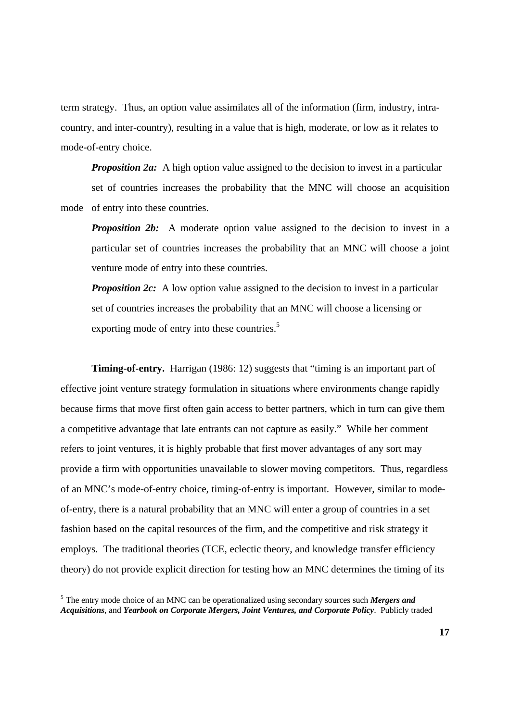term strategy. Thus, an option value assimilates all of the information (firm, industry, intracountry, and inter-country), resulting in a value that is high, moderate, or low as it relates to mode-of-entry choice.

*Proposition 2a:* A high option value assigned to the decision to invest in a particular set of countries increases the probability that the MNC will choose an acquisition mode of entry into these countries.

*Proposition 2b:* A moderate option value assigned to the decision to invest in a particular set of countries increases the probability that an MNC will choose a joint venture mode of entry into these countries.

*Proposition 2c:* A low option value assigned to the decision to invest in a particular set of countries increases the probability that an MNC will choose a licensing or exporting mode of entry into these countries.<sup>5</sup>

**Timing-of-entry.** Harrigan (1986: 12) suggests that "timing is an important part of effective joint venture strategy formulation in situations where environments change rapidly because firms that move first often gain access to better partners, which in turn can give them a competitive advantage that late entrants can not capture as easily." While her comment refers to joint ventures, it is highly probable that first mover advantages of any sort may provide a firm with opportunities unavailable to slower moving competitors. Thus, regardless of an MNC's mode-of-entry choice, timing-of-entry is important. However, similar to modeof-entry, there is a natural probability that an MNC will enter a group of countries in a set fashion based on the capital resources of the firm, and the competitive and risk strategy it employs. The traditional theories (TCE, eclectic theory, and knowledge transfer efficiency theory) do not provide explicit direction for testing how an MNC determines the timing of its

<sup>&</sup>lt;sup>5</sup> The entry mode choice of an MNC can be operationalized using secondary sources such *Mergers and Acquisitions*, and *Yearbook on Corporate Mergers, Joint Ventures, and Corporate Policy*. Publicly traded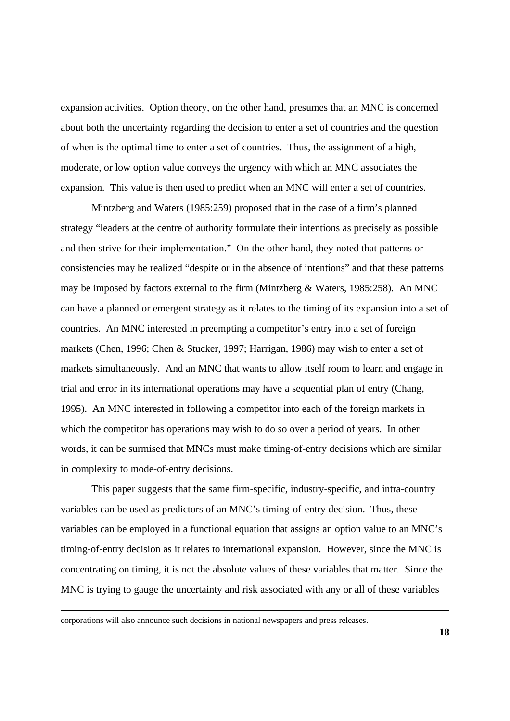expansion activities. Option theory, on the other hand, presumes that an MNC is concerned about both the uncertainty regarding the decision to enter a set of countries and the question of when is the optimal time to enter a set of countries. Thus, the assignment of a high, moderate, or low option value conveys the urgency with which an MNC associates the expansion. This value is then used to predict when an MNC will enter a set of countries.

Mintzberg and Waters (1985:259) proposed that in the case of a firm's planned strategy "leaders at the centre of authority formulate their intentions as precisely as possible and then strive for their implementation." On the other hand, they noted that patterns or consistencies may be realized "despite or in the absence of intentions" and that these patterns may be imposed by factors external to the firm (Mintzberg  $\&$  Waters, 1985:258). An MNC can have a planned or emergent strategy as it relates to the timing of its expansion into a set of countries. An MNC interested in preempting a competitor's entry into a set of foreign markets (Chen, 1996; Chen & Stucker, 1997; Harrigan, 1986) may wish to enter a set of markets simultaneously. And an MNC that wants to allow itself room to learn and engage in trial and error in its international operations may have a sequential plan of entry (Chang, 1995). An MNC interested in following a competitor into each of the foreign markets in which the competitor has operations may wish to do so over a period of years. In other words, it can be surmised that MNCs must make timing-of-entry decisions which are similar in complexity to mode-of-entry decisions.

This paper suggests that the same firm-specific, industry-specific, and intra-country variables can be used as predictors of an MNC's timing-of-entry decision. Thus, these variables can be employed in a functional equation that assigns an option value to an MNC's timing-of-entry decision as it relates to international expansion. However, since the MNC is concentrating on timing, it is not the absolute values of these variables that matter. Since the MNC is trying to gauge the uncertainty and risk associated with any or all of these variables

corporations will also announce such decisions in national newspapers and press releases.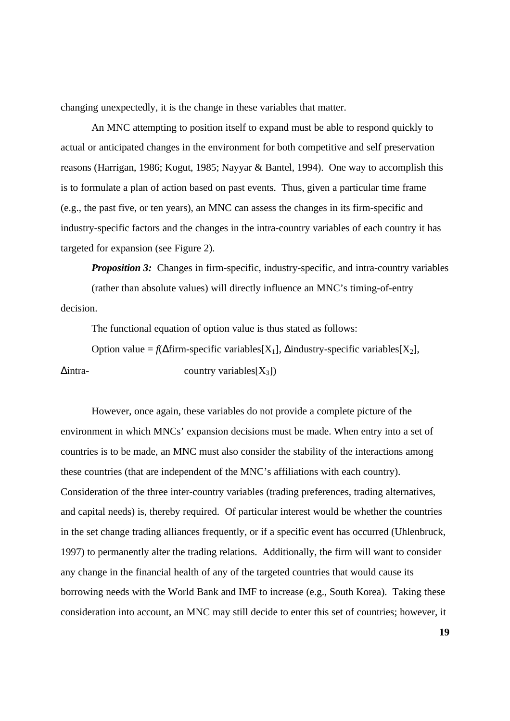changing unexpectedly, it is the change in these variables that matter.

An MNC attempting to position itself to expand must be able to respond quickly to actual or anticipated changes in the environment for both competitive and self preservation reasons (Harrigan, 1986; Kogut, 1985; Nayyar & Bantel, 1994). One way to accomplish this is to formulate a plan of action based on past events. Thus, given a particular time frame (e.g., the past five, or ten years), an MNC can assess the changes in its firm-specific and industry-specific factors and the changes in the intra-country variables of each country it has targeted for expansion (see Figure 2).

*Proposition 3:* Changes in firm-specific, industry-specific, and intra-country variables (rather than absolute values) will directly influence an MNC's timing-of-entry decision.

The functional equation of option value is thus stated as follows:

Option value =  $f(\Delta firm\text{-}specific\ variables[X_1], \Delta industry\text{-}specific\ variables[X_2],$ 

 $\Delta$ intra- country variables[X<sub>3</sub>])

However, once again, these variables do not provide a complete picture of the environment in which MNCs' expansion decisions must be made. When entry into a set of countries is to be made, an MNC must also consider the stability of the interactions among these countries (that are independent of the MNC's affiliations with each country). Consideration of the three inter-country variables (trading preferences, trading alternatives, and capital needs) is, thereby required. Of particular interest would be whether the countries in the set change trading alliances frequently, or if a specific event has occurred (Uhlenbruck, 1997) to permanently alter the trading relations. Additionally, the firm will want to consider any change in the financial health of any of the targeted countries that would cause its borrowing needs with the World Bank and IMF to increase (e.g., South Korea). Taking these consideration into account, an MNC may still decide to enter this set of countries; however, it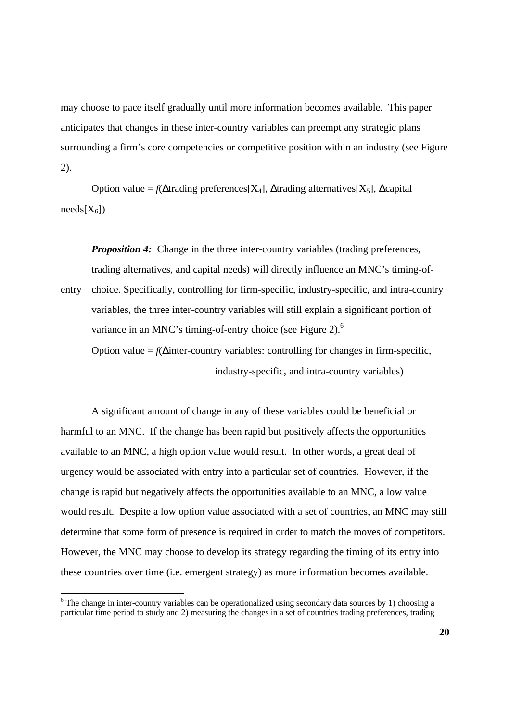may choose to pace itself gradually until more information becomes available. This paper anticipates that changes in these inter-country variables can preempt any strategic plans surrounding a firm's core competencies or competitive position within an industry (see Figure 2).

Option value =  $f(\Delta \text{trading preferences}[X_4], \Delta \text{trading alternatives}[X_5], \Delta \text{capital}$  $needs[X_6]$ 

*Proposition 4:* Change in the three inter-country variables (trading preferences, trading alternatives, and capital needs) will directly influence an MNC's timing-of-

entry choice. Specifically, controlling for firm-specific, industry-specific, and intra-country variables, the three inter-country variables will still explain a significant portion of variance in an MNC's timing-of-entry choice (see Figure 2).<sup>6</sup> Option value  $= f(\Delta)$  inter-country variables: controlling for changes in firm-specific,

industry-specific, and intra-country variables)

A significant amount of change in any of these variables could be beneficial or harmful to an MNC. If the change has been rapid but positively affects the opportunities available to an MNC, a high option value would result. In other words, a great deal of urgency would be associated with entry into a particular set of countries. However, if the change is rapid but negatively affects the opportunities available to an MNC, a low value would result. Despite a low option value associated with a set of countries, an MNC may still determine that some form of presence is required in order to match the moves of competitors. However, the MNC may choose to develop its strategy regarding the timing of its entry into these countries over time (i.e. emergent strategy) as more information becomes available.

<sup>&</sup>lt;sup>6</sup> The change in inter-country variables can be operationalized using secondary data sources by 1) choosing a particular time period to study and 2) measuring the changes in a set of countries trading preferences, trading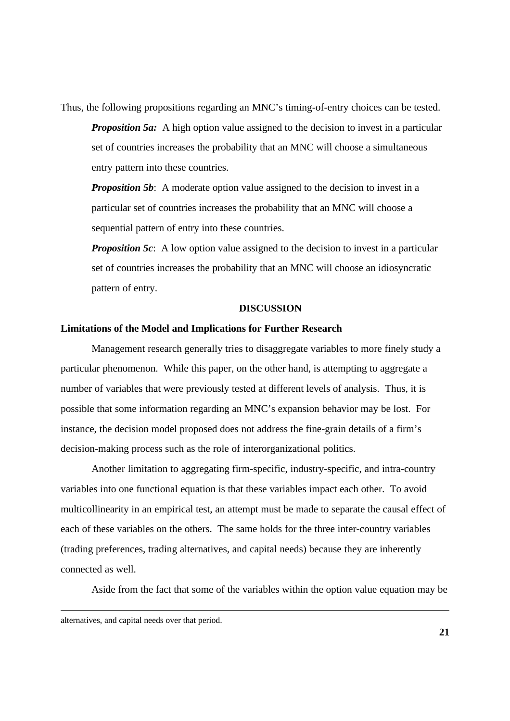Thus, the following propositions regarding an MNC's timing-of-entry choices can be tested.

*Proposition 5a:* A high option value assigned to the decision to invest in a particular set of countries increases the probability that an MNC will choose a simultaneous entry pattern into these countries.

*Proposition 5b*: A moderate option value assigned to the decision to invest in a particular set of countries increases the probability that an MNC will choose a sequential pattern of entry into these countries.

*Proposition 5c*: A low option value assigned to the decision to invest in a particular set of countries increases the probability that an MNC will choose an idiosyncratic pattern of entry.

### **DISCUSSION**

### **Limitations of the Model and Implications for Further Research**

Management research generally tries to disaggregate variables to more finely study a particular phenomenon. While this paper, on the other hand, is attempting to aggregate a number of variables that were previously tested at different levels of analysis. Thus, it is possible that some information regarding an MNC's expansion behavior may be lost. For instance, the decision model proposed does not address the fine-grain details of a firm's decision-making process such as the role of interorganizational politics.

Another limitation to aggregating firm-specific, industry-specific, and intra-country variables into one functional equation is that these variables impact each other. To avoid multicollinearity in an empirical test, an attempt must be made to separate the causal effect of each of these variables on the others. The same holds for the three inter-country variables (trading preferences, trading alternatives, and capital needs) because they are inherently connected as well.

Aside from the fact that some of the variables within the option value equation may be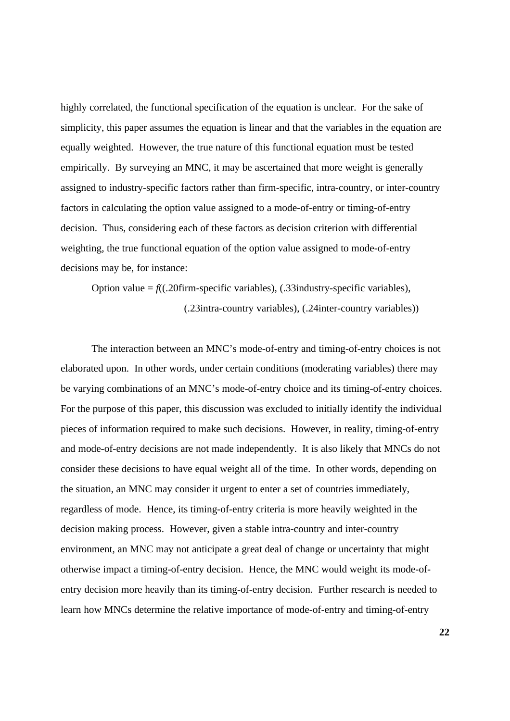highly correlated, the functional specification of the equation is unclear. For the sake of simplicity, this paper assumes the equation is linear and that the variables in the equation are equally weighted. However, the true nature of this functional equation must be tested empirically. By surveying an MNC, it may be ascertained that more weight is generally assigned to industry-specific factors rather than firm-specific, intra-country, or inter-country factors in calculating the option value assigned to a mode-of-entry or timing-of-entry decision. Thus, considering each of these factors as decision criterion with differential weighting, the true functional equation of the option value assigned to mode-of-entry decisions may be, for instance:

Option value  $= f($ (.20firm-specific variables), (.33industry-specific variables), (.23intra-country variables), (.24inter-country variables))

The interaction between an MNC's mode-of-entry and timing-of-entry choices is not elaborated upon. In other words, under certain conditions (moderating variables) there may be varying combinations of an MNC's mode-of-entry choice and its timing-of-entry choices. For the purpose of this paper, this discussion was excluded to initially identify the individual pieces of information required to make such decisions. However, in reality, timing-of-entry and mode-of-entry decisions are not made independently. It is also likely that MNCs do not consider these decisions to have equal weight all of the time. In other words, depending on the situation, an MNC may consider it urgent to enter a set of countries immediately, regardless of mode. Hence, its timing-of-entry criteria is more heavily weighted in the decision making process. However, given a stable intra-country and inter-country environment, an MNC may not anticipate a great deal of change or uncertainty that might otherwise impact a timing-of-entry decision. Hence, the MNC would weight its mode-ofentry decision more heavily than its timing-of-entry decision. Further research is needed to learn how MNCs determine the relative importance of mode-of-entry and timing-of-entry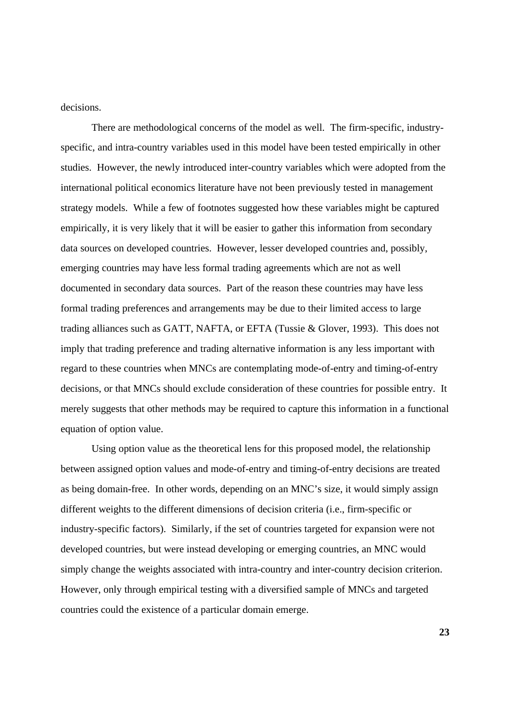decisions.

There are methodological concerns of the model as well. The firm-specific, industryspecific, and intra-country variables used in this model have been tested empirically in other studies. However, the newly introduced inter-country variables which were adopted from the international political economics literature have not been previously tested in management strategy models. While a few of footnotes suggested how these variables might be captured empirically, it is very likely that it will be easier to gather this information from secondary data sources on developed countries. However, lesser developed countries and, possibly, emerging countries may have less formal trading agreements which are not as well documented in secondary data sources. Part of the reason these countries may have less formal trading preferences and arrangements may be due to their limited access to large trading alliances such as GATT, NAFTA, or EFTA (Tussie & Glover, 1993). This does not imply that trading preference and trading alternative information is any less important with regard to these countries when MNCs are contemplating mode-of-entry and timing-of-entry decisions, or that MNCs should exclude consideration of these countries for possible entry. It merely suggests that other methods may be required to capture this information in a functional equation of option value.

Using option value as the theoretical lens for this proposed model, the relationship between assigned option values and mode-of-entry and timing-of-entry decisions are treated as being domain-free. In other words, depending on an MNC's size, it would simply assign different weights to the different dimensions of decision criteria (i.e., firm-specific or industry-specific factors). Similarly, if the set of countries targeted for expansion were not developed countries, but were instead developing or emerging countries, an MNC would simply change the weights associated with intra-country and inter-country decision criterion. However, only through empirical testing with a diversified sample of MNCs and targeted countries could the existence of a particular domain emerge.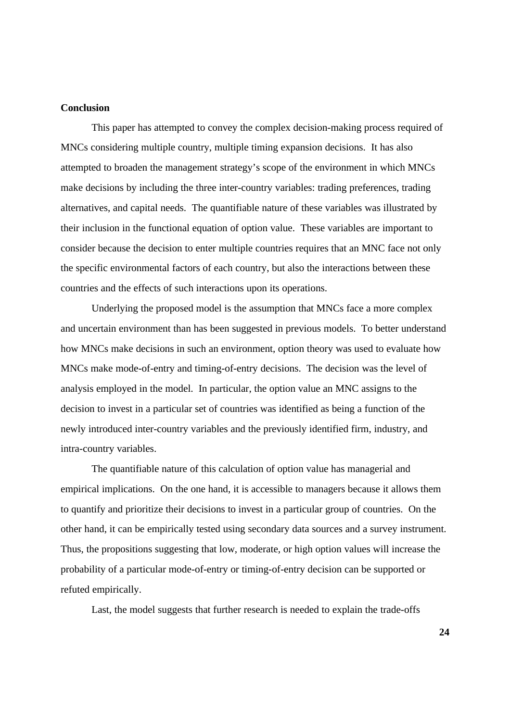# **Conclusion**

This paper has attempted to convey the complex decision-making process required of MNCs considering multiple country, multiple timing expansion decisions. It has also attempted to broaden the management strategy's scope of the environment in which MNCs make decisions by including the three inter-country variables: trading preferences, trading alternatives, and capital needs. The quantifiable nature of these variables was illustrated by their inclusion in the functional equation of option value. These variables are important to consider because the decision to enter multiple countries requires that an MNC face not only the specific environmental factors of each country, but also the interactions between these countries and the effects of such interactions upon its operations.

Underlying the proposed model is the assumption that MNCs face a more complex and uncertain environment than has been suggested in previous models. To better understand how MNCs make decisions in such an environment, option theory was used to evaluate how MNCs make mode-of-entry and timing-of-entry decisions. The decision was the level of analysis employed in the model. In particular, the option value an MNC assigns to the decision to invest in a particular set of countries was identified as being a function of the newly introduced inter-country variables and the previously identified firm, industry, and intra-country variables.

The quantifiable nature of this calculation of option value has managerial and empirical implications. On the one hand, it is accessible to managers because it allows them to quantify and prioritize their decisions to invest in a particular group of countries. On the other hand, it can be empirically tested using secondary data sources and a survey instrument. Thus, the propositions suggesting that low, moderate, or high option values will increase the probability of a particular mode-of-entry or timing-of-entry decision can be supported or refuted empirically.

Last, the model suggests that further research is needed to explain the trade-offs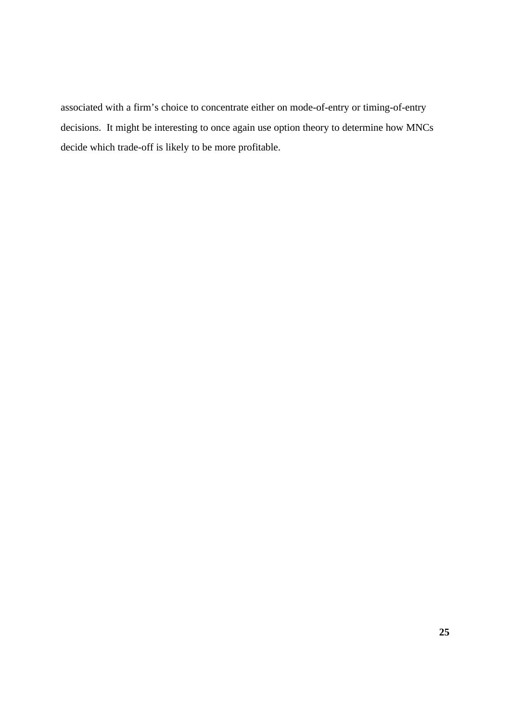associated with a firm's choice to concentrate either on mode-of-entry or timing-of-entry decisions. It might be interesting to once again use option theory to determine how MNCs decide which trade-off is likely to be more profitable.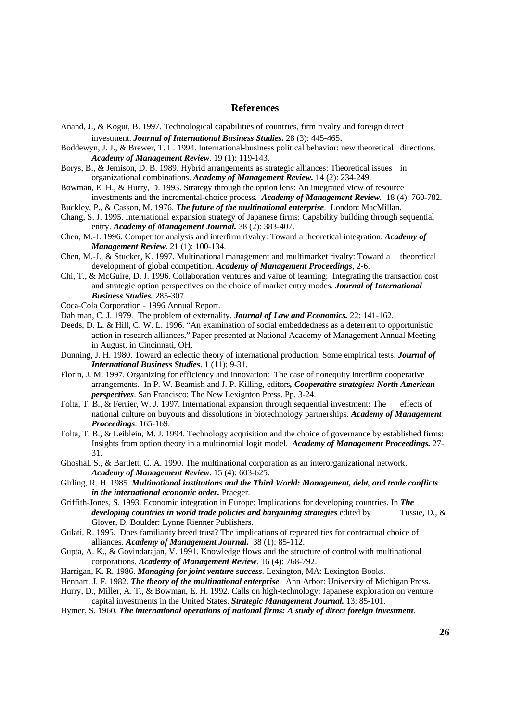#### **References**

- Anand, J., & Kogut, B. 1997. Technological capabilities of countries, firm rivalry and foreign direct investment. *Journal of International Business Studies.* 28 (3): 445-465.
- Boddewyn, J. J., & Brewer, T. L. 1994. International-business political behavior: new theoretical directions. *Academy of Management Review*. 19 (1): 119-143.
- Borys, B., & Jemison, D. B. 1989. Hybrid arrangements as strategic alliances: Theoretical issues in organizational combinations. *Academy of Management Review.* 14 (2): 234-249.
- Bowman, E. H., & Hurry, D. 1993. Strategy through the option lens: An integrated view of resource investments and the incremental-choice process*. Academy of Management Review.* 18 (4): 760-782.
- Buckley, P., & Casson, M. 1976. *The future of the multinational enterprise*. London: MacMillan.
- Chang, S. J. 1995. International expansion strategy of Japanese firms: Capability building through sequential entry. *Academy of Management Journal.* 38 (2): 383-407.
- Chen, M.-J. 1996. Competitor analysis and interfirm rivalry: Toward a theoretical integration. *Academy of Management Review*. 21 (1): 100-134.
- Chen, M.-J., & Stucker, K. 1997. Multinational management and multimarket rivalry: Toward a theoretical development of global competition. *Academy of Management Proceedings*, 2-6.
- Chi, T., & McGuire, D. J. 1996. Collaboration ventures and value of learning: Integrating the transaction cost and strategic option perspectives on the choice of market entry modes. *Journal of International Business Studies.* 285-307.
- Coca-Cola Corporation 1996 Annual Report.
- Dahlman, C. J. 1979. The problem of externality. *Journal of Law and Economics.* 22: 141-162.
- Deeds, D. L. & Hill, C. W. L. 1996. "An examination of social embeddedness as a deterrent to opportunistic action in research alliances," Paper presented at National Academy of Management Annual Meeting in August, in Cincinnati, OH.
- Dunning, J. H. 1980. Toward an eclectic theory of international production: Some empirical tests. *Journal of International Business Studies*. 1 (11): 9-31.
- Florin, J. M. 1997. Organizing for efficiency and innovation: The case of nonequity interfirm cooperative arrangements. In P. W. Beamish and J. P. Killing, editors*, Cooperative strategies: North American perspectives*. San Francisco: The New Lexignton Press. Pp. 3-24.
- Folta, T. B., & Ferrier, W. J. 1997. International expansion through sequential investment: The effects of national culture on buyouts and dissolutions in biotechnology partnerships. *Academy of Management Proceedings*. 165-169.
- Folta, T. B., & Leiblein, M. J. 1994. Technology acquisition and the choice of governance by established firms: Insights from option theory in a multinomial logit model. *Academy of Management Proceedings.* 27- 31.
- Ghoshal, S., & Bartlett, C. A. 1990. The multinational corporation as an interorganizational network. *Academy of Management Review*. 15 (4): 603-625.
- Girling, R. H. 1985. *Multinational institutions and the Third World: Management, debt, and trade conflicts in the international economic order.* Praeger.
- Griffith-Jones, S. 1993. Economic integration in Europe: Implications for developing countries. In *The developing countries in world trade policies and bargaining strategies* edited by Tussie, D., & Glover, D. Boulder: Lynne Rienner Publishers.
- Gulati, R. 1995. Does familiarity breed trust? The implications of repeated ties for contractual choice of alliances. *Academy of Management Journal.* 38 (1): 85-112.
- Gupta, A. K., & Govindarajan, V. 1991. Knowledge flows and the structure of control with multinational corporations. *Academy of Management Review*. 16 (4): 768-792.
- Harrigan, K. R. 1986. *Managing for joint venture success*. Lexington, MA: Lexington Books.
- Hennart, J. F. 1982. *The theory of the multinational enterprise*. Ann Arbor: University of Michigan Press.
- Hurry, D., Miller, A. T., & Bowman, E. H. 1992. Calls on high-technology: Japanese exploration on venture capital investments in the United States. *Strategic Management Journal.* 13: 85-101.
- Hymer, S. 1960. *The international operations of national firms: A study of direct foreign investment*.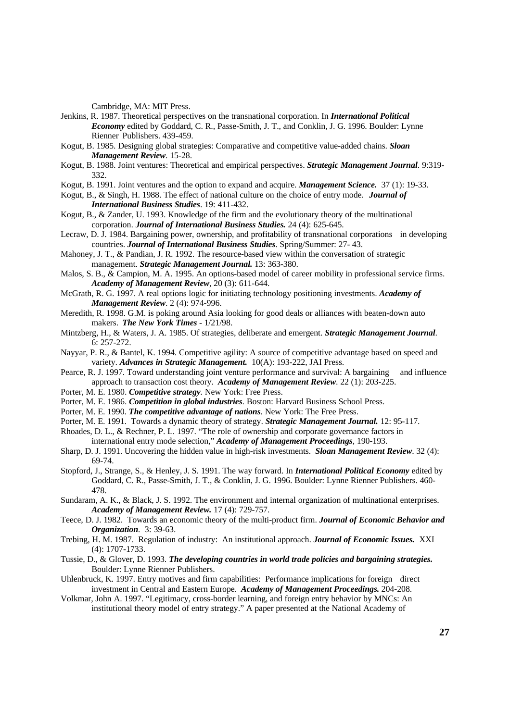Cambridge, MA: MIT Press.

- Jenkins, R. 1987. Theoretical perspectives on the transnational corporation. In *International Political Economy* edited by Goddard, C. R., Passe-Smith, J. T., and Conklin, J. G. 1996. Boulder: Lynne Rienner Publishers. 439-459.
- Kogut, B. 1985. Designing global strategies: Comparative and competitive value-added chains. *Sloan Management Review*. 15-28.
- Kogut, B. 1988. Joint ventures: Theoretical and empirical perspectives. *Strategic Management Journal*. 9:319- 332.
- Kogut, B. 1991. Joint ventures and the option to expand and acquire. *Management Science.* 37 (1): 19-33.
- Kogut, B., & Singh, H. 1988. The effect of national culture on the choice of entry mode. *Journal of International Business Studies*. 19: 411-432.
- Kogut, B., & Zander, U. 1993. Knowledge of the firm and the evolutionary theory of the multinational corporation. *Journal of International Business Studies.* 24 (4): 625-645.
- Lecraw, D. J. 1984. Bargaining power, ownership, and profitability of transnational corporations in developing countries. *Journal of International Business Studies*. Spring/Summer: 27- 43.
- Mahoney, J. T., & Pandian, J. R. 1992. The resource-based view within the conversation of strategic management. *Strategic Management Journal.* 13: 363-380.
- Malos, S. B., & Campion, M. A. 1995. An options-based model of career mobility in professional service firms. *Academy of Management Review*, 20 (3): 611-644.
- McGrath, R. G. 1997. A real options logic for initiating technology positioning investments. *Academy of Management Review*. 2 (4): 974-996.
- Meredith, R. 1998. G.M. is poking around Asia looking for good deals or alliances with beaten-down auto makers. *The New York Times* - 1/21/98.
- Mintzberg, H., & Waters, J. A. 1985. Of strategies, deliberate and emergent. *Strategic Management Journal*. 6: 257-272.
- Nayyar, P. R., & Bantel, K. 1994. Competitive agility: A source of competitive advantage based on speed and variety. *Advances in Strategic Management.* 10(A): 193-222, JAI Press.
- Pearce, R. J. 1997. Toward understanding joint venture performance and survival: A bargaining and influence approach to transaction cost theory. *Academy of Management Review*. 22 (1): 203-225.
- Porter, M. E. 1980. *Competitive strategy.* New York: Free Press.
- Porter, M. E. 1986. *Competition in global industries*. Boston: Harvard Business School Press.
- Porter, M. E. 1990. *The competitive advantage of nations*. New York: The Free Press.
- Porter, M. E. 1991. Towards a dynamic theory of strategy. *Strategic Management Journal.* 12: 95-117.
- Rhoades, D. L., & Rechner, P. L. 1997. "The role of ownership and corporate governance factors in international entry mode selection," *Academy of Management Proceedings*, 190-193.
- Sharp, D. J. 1991. Uncovering the hidden value in high-risk investments. *Sloan Management Review*. 32 (4): 69-74.
- Stopford, J., Strange, S., & Henley, J. S. 1991. The way forward. In *International Political Economy* edited by Goddard, C. R., Passe-Smith, J. T., & Conklin, J. G. 1996. Boulder: Lynne Rienner Publishers. 460- 478.
- Sundaram, A. K., & Black, J. S. 1992. The environment and internal organization of multinational enterprises. *Academy of Management Review.* 17 (4): 729-757.
- Teece, D. J. 1982. Towards an economic theory of the multi-product firm. *Journal of Economic Behavior and Organization.* 3: 39-63.
- Trebing, H. M. 1987. Regulation of industry: An institutional approach. *Journal of Economic Issues.* XXI (4): 1707-1733.
- Tussie, D., & Glover, D. 1993. *The developing countries in world trade policies and bargaining strategies.*  Boulder: Lynne Rienner Publishers.
- Uhlenbruck, K. 1997. Entry motives and firm capabilities: Performance implications for foreign direct investment in Central and Eastern Europe. *Academy of Management Proceedings.* 204-208.
- Volkmar, John A. 1997. "Legitimacy, cross-border learning, and foreign entry behavior by MNCs: An institutional theory model of entry strategy." A paper presented at the National Academy of